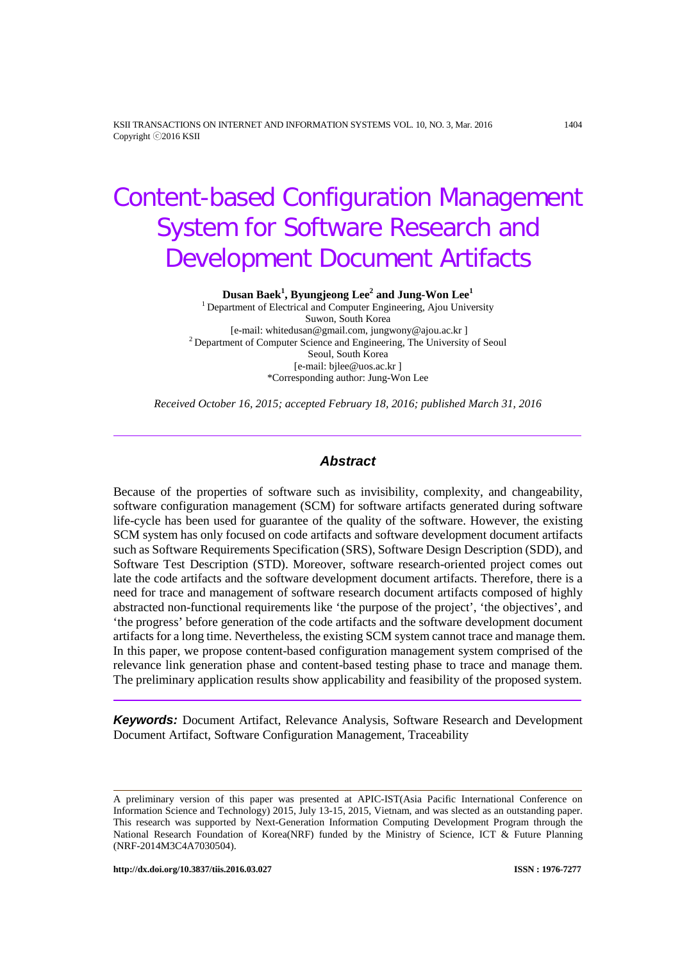KSII TRANSACTIONS ON INTERNET AND INFORMATION SYSTEMS VOL. 10, NO. 3, Mar. 2016 1404 Copyright ⓒ2016 KSII

# Content-based Configuration Management System for Software Research and Development Document Artifacts

**Dusan Baek1 , Byungjeong Lee<sup>2</sup> and Jung-Won Lee<sup>1</sup>**

<sup>1</sup> Department of Electrical and Computer Engineering, Ajou University Suwon, South Korea<br>[e-mail: whitedusan@gmail.com, jungwony@ajou.ac.kr]  $2$  Department of Computer Science and Engineering, The University of Seoul Seoul, South Korea [e-mail: bjlee@uos.ac.kr ] \*Corresponding author: Jung-Won Lee

*Received October 16, 2015; accepted February 18, 2016; published March 31, 2016*

#### *Abstract*

Because of the properties of software such as invisibility, complexity, and changeability, software configuration management (SCM) for software artifacts generated during software life-cycle has been used for guarantee of the quality of the software. However, the existing SCM system has only focused on code artifacts and software development document artifacts such as Software Requirements Specification (SRS), Software Design Description (SDD), and Software Test Description (STD). Moreover, software research-oriented project comes out late the code artifacts and the software development document artifacts. Therefore, there is a need for trace and management of software research document artifacts composed of highly abstracted non-functional requirements like 'the purpose of the project', 'the objectives', and 'the progress' before generation of the code artifacts and the software development document artifacts for a long time. Nevertheless, the existing SCM system cannot trace and manage them. In this paper, we propose content-based configuration management system comprised of the relevance link generation phase and content-based testing phase to trace and manage them. The preliminary application results show applicability and feasibility of the proposed system.

*Keywords:* Document Artifact, Relevance Analysis, Software Research and Development Document Artifact, Software Configuration Management, Traceability

A preliminary version of this paper was presented at APIC-IST(Asia Pacific International Conference on Information Science and Technology) 2015, July 13-15, 2015, Vietnam, and was slected as an outstanding paper. This research was supported by Next-Generation Information Computing Development Program through the National Research Foundation of Korea(NRF) funded by the Ministry of Science, ICT & Future Planning (NRF-2014M3C4A7030504).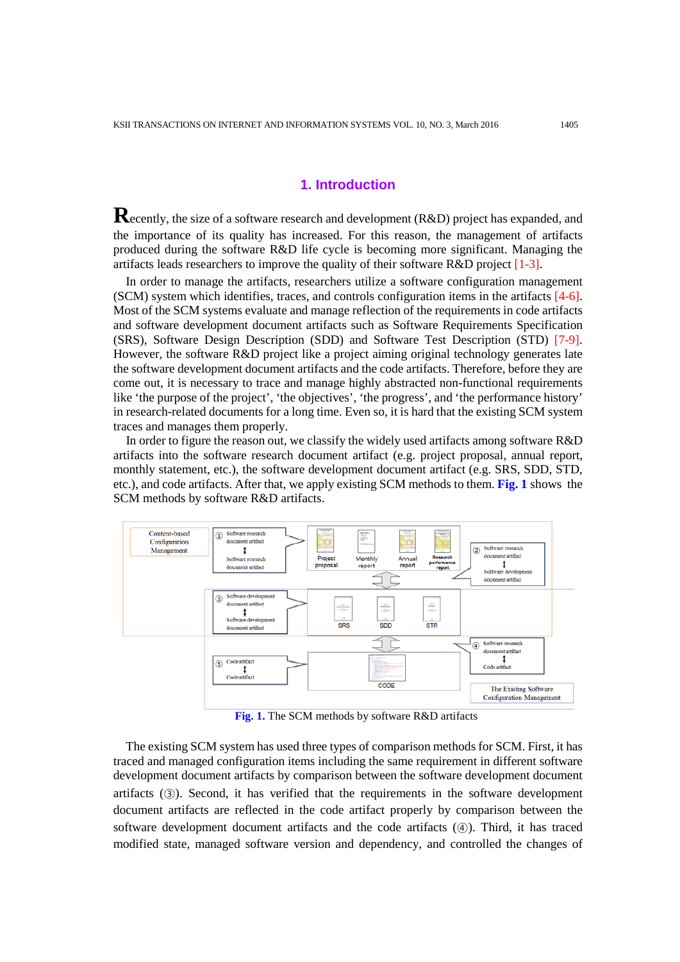# **1. Introduction**

**R**ecently, the size of <sup>a</sup> software research and development (R&D) project has expanded, and the importance of its quality has increased. For this reason, the management of artifacts produced during the software R&D life cycle is becoming more significant. Managing the artifacts leads researchers to improve the quality of their software R&D project [1-3].

In order to manage the artifacts, researchers utilize a software configuration management (SCM) system which identifies, traces, and controls configuration items in the artifacts [4-6]. Most of the SCM systems evaluate and manage reflection of the requirements in code artifacts and software development document artifacts such as Software Requirements Specification (SRS), Software Design Description (SDD) and Software Test Description (STD) [7-9]. However, the software R&D project like a project aiming original technology generates late the software development document artifacts and the code artifacts. Therefore, before they are come out, it is necessary to trace and manage highly abstracted non-functional requirements like 'the purpose of the project', 'the objectives', 'the progress', and 'the performance history' in research-related documents for a long time. Even so, it is hard that the existing SCM system traces and manages them properly.

In order to figure the reason out, we classify the widely used artifacts among software R&D artifacts into the software research document artifact (e.g. project proposal, annual report, monthly statement, etc.), the software development document artifact (e.g. SRS, SDD, STD, etc.), and code artifacts. After that, we apply existing SCM methods to them. **Fig. 1** shows the SCM methods by software R&D artifacts.



**Fig. 1.** The SCM methods by software R&D artifacts

The existing SCM system has used three types of comparison methods for SCM. First, it has traced and managed configuration items including the same requirement in different software development document artifacts by comparison between the software development document artifacts (③). Second, it has verified that the requirements in the software development document artifacts are reflected in the code artifact properly by comparison between the software development document artifacts and the code artifacts (④). Third, it has traced modified state, managed software version and dependency, and controlled the changes of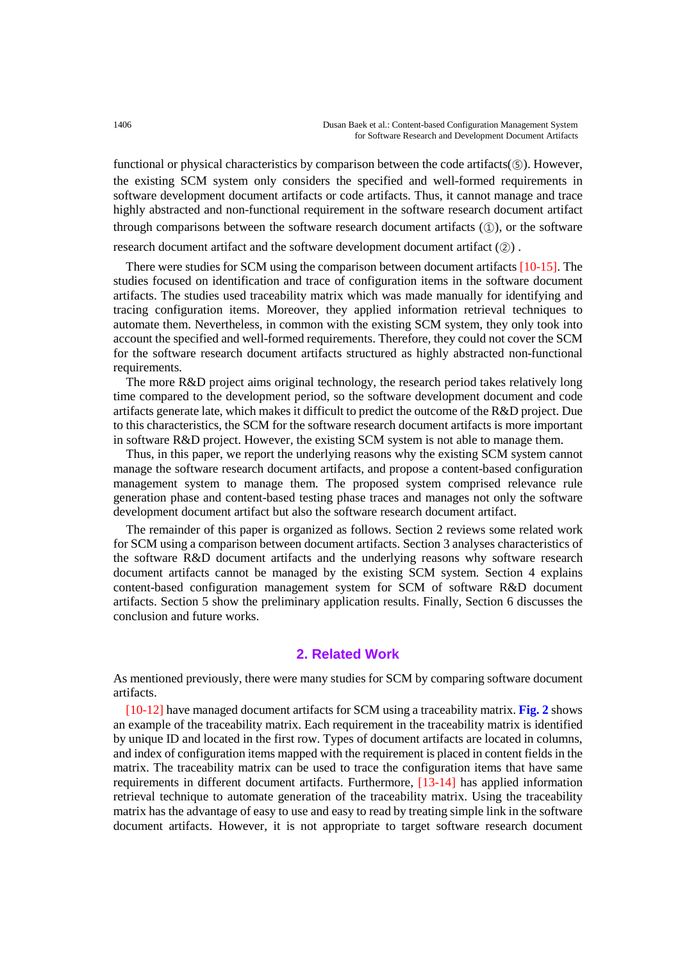functional or physical characteristics by comparison between the code artifacts(⑤). However, the existing SCM system only considers the specified and well-formed requirements in software development document artifacts or code artifacts. Thus, it cannot manage and trace highly abstracted and non-functional requirement in the software research document artifact through comparisons between the software research document artifacts  $(1)$ , or the software

research document artifact and the software development document artifact (②) .

There were studies for SCM using the comparison between document artifacts [10-15]. The studies focused on identification and trace of configuration items in the software document artifacts. The studies used traceability matrix which was made manually for identifying and tracing configuration items. Moreover, they applied information retrieval techniques to automate them. Nevertheless, in common with the existing SCM system, they only took into account the specified and well-formed requirements. Therefore, they could not cover the SCM for the software research document artifacts structured as highly abstracted non-functional requirements.

The more R&D project aims original technology, the research period takes relatively long time compared to the development period, so the software development document and code artifacts generate late, which makes it difficult to predict the outcome of the R&D project. Due to this characteristics, the SCM for the software research document artifacts is more important in software R&D project. However, the existing SCM system is not able to manage them.

Thus, in this paper, we report the underlying reasons why the existing SCM system cannot manage the software research document artifacts, and propose a content-based configuration management system to manage them. The proposed system comprised relevance rule generation phase and content-based testing phase traces and manages not only the software development document artifact but also the software research document artifact.

The remainder of this paper is organized as follows. Section 2 reviews some related work for SCM using a comparison between document artifacts. Section 3 analyses characteristics of the software R&D document artifacts and the underlying reasons why software research document artifacts cannot be managed by the existing SCM system. Section 4 explains content-based configuration management system for SCM of software R&D document artifacts. Section 5 show the preliminary application results. Finally, Section 6 discusses the conclusion and future works.

# **2. Related Work**

As mentioned previously, there were many studies for SCM by comparing software document artifacts.

[10-12] have managed document artifacts for SCM using a traceability matrix. **Fig. 2** shows an example of the traceability matrix. Each requirement in the traceability matrix is identified by unique ID and located in the first row. Types of document artifacts are located in columns, and index of configuration items mapped with the requirement is placed in content fields in the matrix. The traceability matrix can be used to trace the configuration items that have same requirements in different document artifacts. Furthermore, [13-14] has applied information retrieval technique to automate generation of the traceability matrix. Using the traceability matrix has the advantage of easy to use and easy to read by treating simple link in the software document artifacts. However, it is not appropriate to target software research document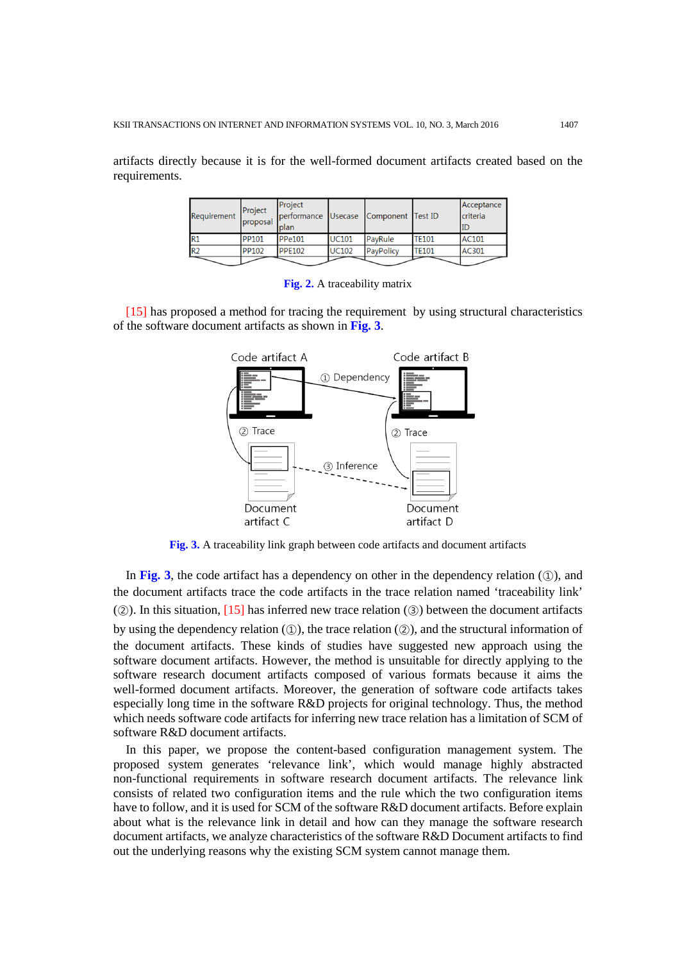artifacts directly because it is for the well-formed document artifacts created based on the requirements.

| Requirement    | Project<br>proposal | Project<br>performance Usecase Component Test ID<br>plan |              |           |              | Acceptance<br>criteria<br>ID |
|----------------|---------------------|----------------------------------------------------------|--------------|-----------|--------------|------------------------------|
| R1             | <b>PP101</b>        | <b>PPe101</b>                                            | <b>UC101</b> | PayRule   | <b>TE101</b> | AC101                        |
| R <sub>2</sub> | <b>PP102</b>        | <b>PPE102</b>                                            | <b>UC102</b> | PayPolicy | <b>TE101</b> | AC301                        |
|                |                     |                                                          |              |           |              |                              |

**Fig. 2.** A traceability matrix

[15] has proposed a method for tracing the requirement by using structural characteristics of the software document artifacts as shown in **Fig. 3**.



**Fig. 3.** A traceability link graph between code artifacts and document artifacts

In Fig. 3, the code artifact has a dependency on other in the dependency relation  $(1)$ , and the document artifacts trace the code artifacts in the trace relation named 'traceability link'  $(2)$ ). In this situation, [15] has inferred new trace relation (3) between the document artifacts by using the dependency relation  $(\mathbb{Q})$ , the trace relation  $(\mathbb{Q})$ , and the structural information of the document artifacts. These kinds of studies have suggested new approach using the software document artifacts. However, the method is unsuitable for directly applying to the software research document artifacts composed of various formats because it aims the well-formed document artifacts. Moreover, the generation of software code artifacts takes especially long time in the software R&D projects for original technology. Thus, the method which needs software code artifacts for inferring new trace relation has a limitation of SCM of software R&D document artifacts.

In this paper, we propose the content-based configuration management system. The proposed system generates 'relevance link', which would manage highly abstracted non-functional requirements in software research document artifacts. The relevance link consists of related two configuration items and the rule which the two configuration items have to follow, and it is used for SCM of the software R&D document artifacts. Before explain about what is the relevance link in detail and how can they manage the software research document artifacts, we analyze characteristics of the software R&D Document artifacts to find out the underlying reasons why the existing SCM system cannot manage them.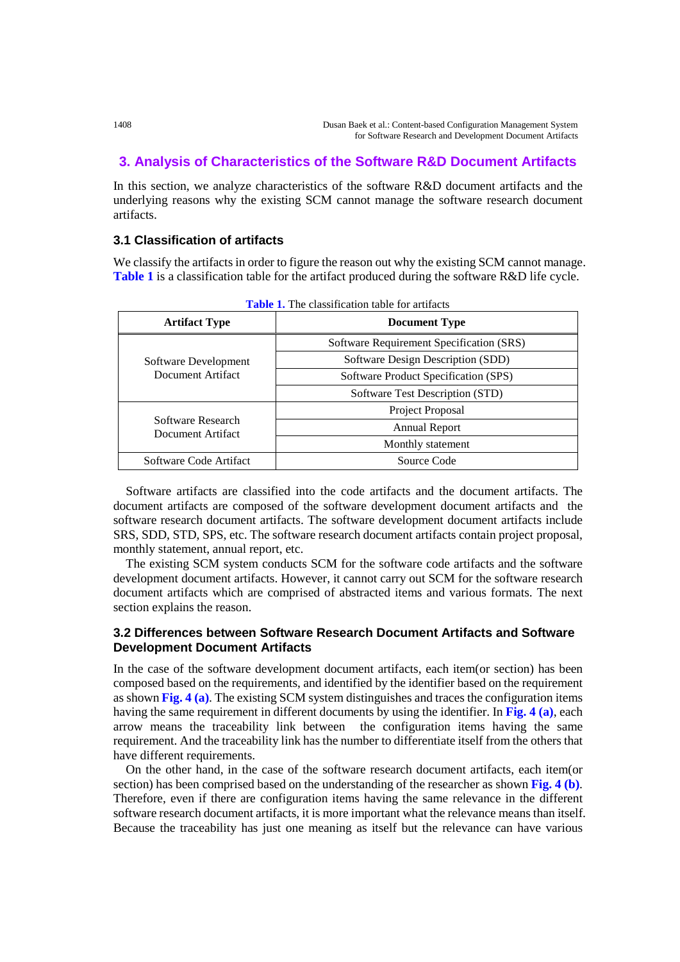# **3. Analysis of Characteristics of the Software R&D Document Artifacts**

In this section, we analyze characteristics of the software R&D document artifacts and the underlying reasons why the existing SCM cannot manage the software research document artifacts.

## **3.1 Classification of artifacts**

We classify the artifacts in order to figure the reason out why the existing SCM cannot manage. **Table 1** is a classification table for the artifact produced during the software R&D life cycle.

| <b>Artifact Type</b>                   | <b>Document Type</b>                     |  |  |
|----------------------------------------|------------------------------------------|--|--|
|                                        | Software Requirement Specification (SRS) |  |  |
| Software Development                   | Software Design Description (SDD)        |  |  |
| Document Artifact                      | Software Product Specification (SPS)     |  |  |
|                                        | Software Test Description (STD)          |  |  |
|                                        | Project Proposal                         |  |  |
| Software Research<br>Document Artifact | <b>Annual Report</b>                     |  |  |
|                                        | Monthly statement                        |  |  |
| Software Code Artifact                 | Source Code                              |  |  |

**Table 1.** The classification table for artifacts

Software artifacts are classified into the code artifacts and the document artifacts. The document artifacts are composed of the software development document artifacts and the software research document artifacts. The software development document artifacts include SRS, SDD, STD, SPS, etc. The software research document artifacts contain project proposal, monthly statement, annual report, etc.

The existing SCM system conducts SCM for the software code artifacts and the software development document artifacts. However, it cannot carry out SCM for the software research document artifacts which are comprised of abstracted items and various formats. The next section explains the reason.

# **3.2 Differences between Software Research Document Artifacts and Software Development Document Artifacts**

In the case of the software development document artifacts, each item(or section) has been composed based on the requirements, and identified by the identifier based on the requirement as shown **Fig. 4 (a)**. The existing SCM system distinguishes and traces the configuration items having the same requirement in different documents by using the identifier. In **Fig. 4 (a)**, each arrow means the traceability link between the configuration items having the same requirement. And the traceability link has the number to differentiate itself from the others that have different requirements.

On the other hand, in the case of the software research document artifacts, each item(or section) has been comprised based on the understanding of the researcher as shown **Fig. 4 (b)**. Therefore, even if there are configuration items having the same relevance in the different software research document artifacts, it is more important what the relevance means than itself. Because the traceability has just one meaning as itself but the relevance can have various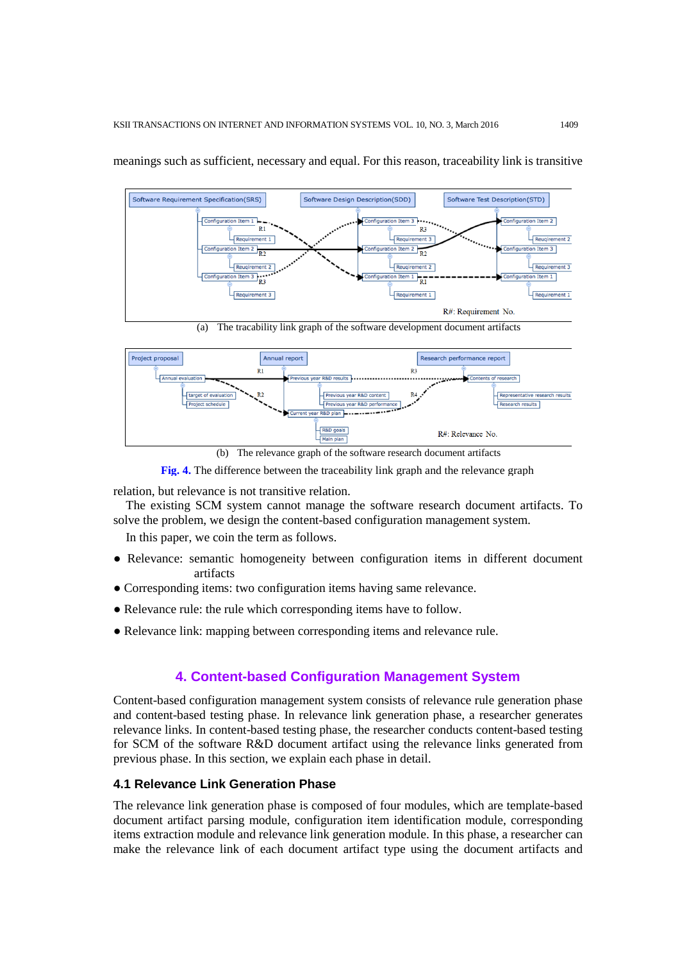

meanings such as sufficient, necessary and equal. For this reason, traceability link is transitive

Annual report Project proposal Research performance report  $R1$  $R<sub>3</sub>$ م کا rch results ous year R&D perfor arch results  $380 \text{ abs } - - - - - - -$ R&D goals R#: Relevance No. Main nlan

(b) The relevance graph of the software research document artifacts



relation, but relevance is not transitive relation.

The existing SCM system cannot manage the software research document artifacts. To solve the problem, we design the content-based configuration management system.

In this paper, we coin the term as follows.

- Relevance: semantic homogeneity between configuration items in different document artifacts
- Corresponding items: two configuration items having same relevance.
- Relevance rule: the rule which corresponding items have to follow.
- Relevance link: mapping between corresponding items and relevance rule.

#### **4. Content-based Configuration Management System**

Content-based configuration management system consists of relevance rule generation phase and content-based testing phase. In relevance link generation phase, a researcher generates relevance links. In content-based testing phase, the researcher conducts content-based testing for SCM of the software R&D document artifact using the relevance links generated from previous phase. In this section, we explain each phase in detail.

#### **4.1 Relevance Link Generation Phase**

The relevance link generation phase is composed of four modules, which are template-based document artifact parsing module, configuration item identification module, corresponding items extraction module and relevance link generation module. In this phase, a researcher can make the relevance link of each document artifact type using the document artifacts and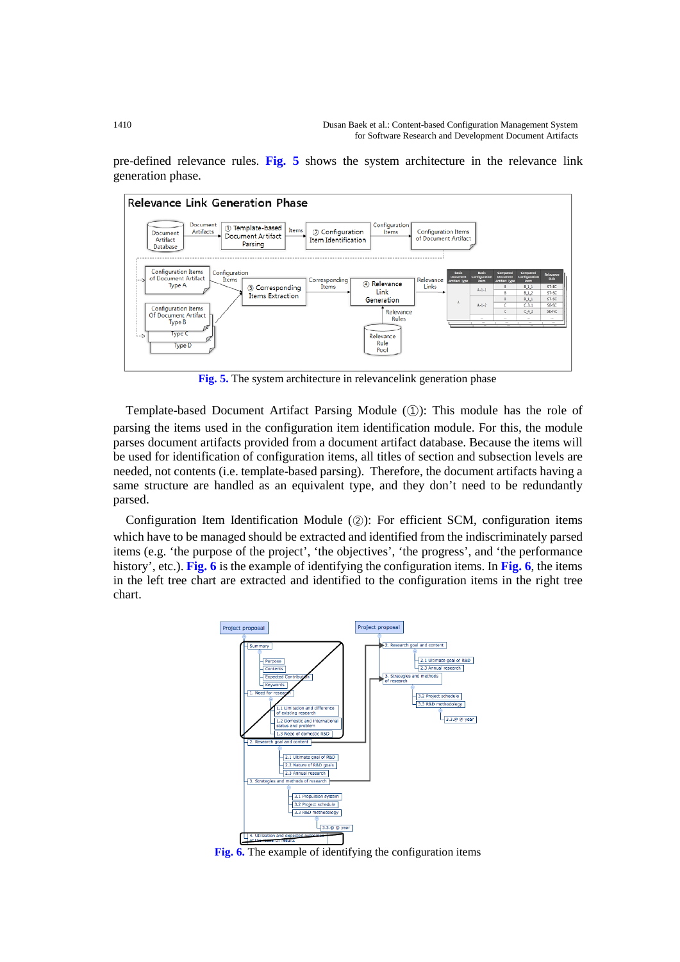pre-defined relevance rules. **Fig. 5** shows the system architecture in the relevance link generation phase.



**Fig. 5.** The system architecture in relevancelink generation phase

Template-based Document Artifact Parsing Module (①): This module has the role of parsing the items used in the configuration item identification module. For this, the module parses document artifacts provided from a document artifact database. Because the items will be used for identification of configuration items, all titles of section and subsection levels are needed, not contents (i.e. template-based parsing). Therefore, the document artifacts having a same structure are handled as an equivalent type, and they don't need to be redundantly parsed.

Configuration Item Identification Module (②): For efficient SCM, configuration items which have to be managed should be extracted and identified from the indiscriminately parsed items (e.g. 'the purpose of the project', 'the objectives', 'the progress', and 'the performance history', etc.). **Fig. 6** is the example of identifying the configuration items. In **Fig. 6**, the items in the left tree chart are extracted and identified to the configuration items in the right tree chart.



**Fig. 6.** The example of identifying the configuration items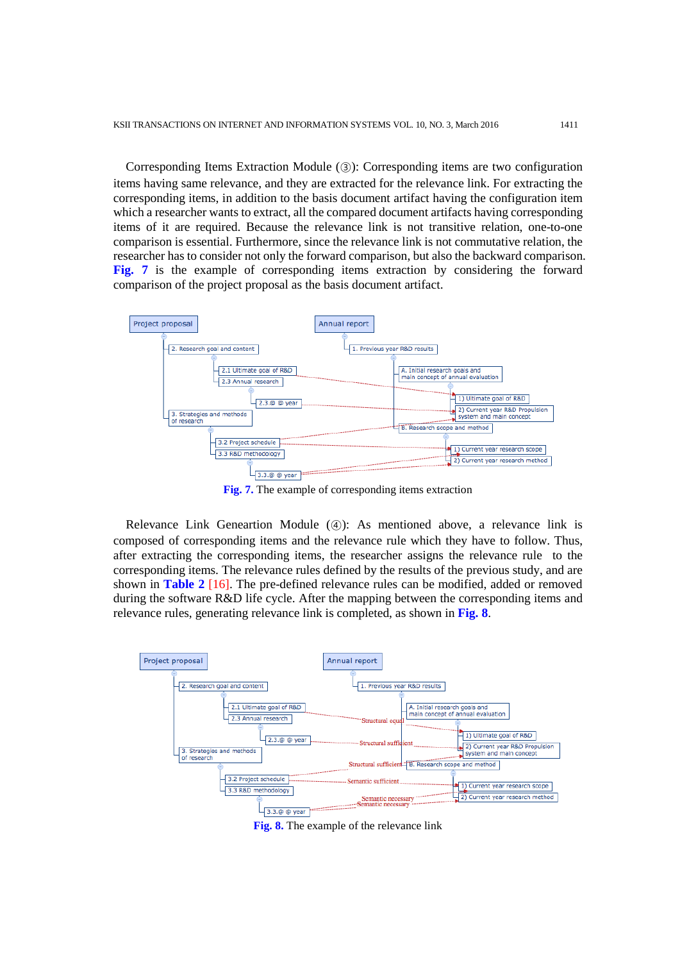Corresponding Items Extraction Module (③): Corresponding items are two configuration items having same relevance, and they are extracted for the relevance link. For extracting the corresponding items, in addition to the basis document artifact having the configuration item which a researcher wants to extract, all the compared document artifacts having corresponding items of it are required. Because the relevance link is not transitive relation, one-to-one comparison is essential. Furthermore, since the relevance link is not commutative relation, the researcher has to consider not only the forward comparison, but also the backward comparison. **Fig. 7** is the example of corresponding items extraction by considering the forward comparison of the project proposal as the basis document artifact.



**Fig. 7.** The example of corresponding items extraction

Relevance Link Geneartion Module (④): As mentioned above, a relevance link is composed of corresponding items and the relevance rule which they have to follow. Thus, after extracting the corresponding items, the researcher assigns the relevance rule to the corresponding items. The relevance rules defined by the results of the previous study, and are shown in **Table 2** [16]. The pre-defined relevance rules can be modified, added or removed during the software R&D life cycle. After the mapping between the corresponding items and relevance rules, generating relevance link is completed, as shown in **Fig. 8**.



**Fig. 8.** The example of the relevance link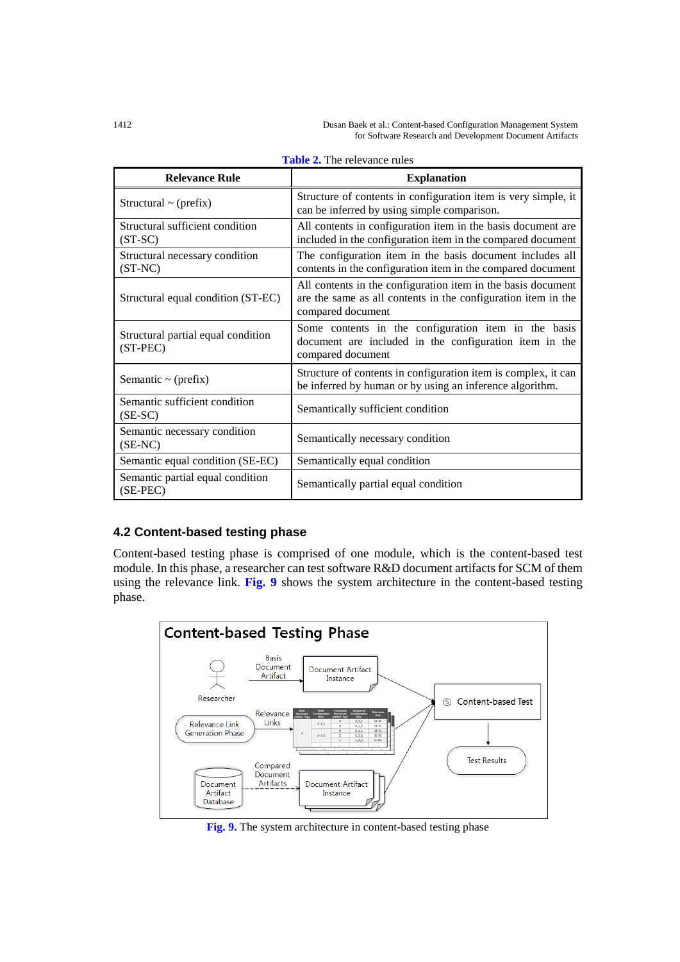1412 Dusan Baek et al.: Content-based Configuration Management System for Software Research and Development Document Artifacts

| <b>Relevance Rule</b>                            | <b>Explanation</b>                                                                                                                                 |  |  |
|--------------------------------------------------|----------------------------------------------------------------------------------------------------------------------------------------------------|--|--|
| Structural $\sim$ (prefix)                       | Structure of contents in configuration item is very simple, it<br>can be inferred by using simple comparison.                                      |  |  |
| Structural sufficient condition<br>$(ST-SC)$     | All contents in configuration item in the basis document are<br>included in the configuration item in the compared document                        |  |  |
| Structural necessary condition<br>$(ST-NC)$      | The configuration item in the basis document includes all<br>contents in the configuration item in the compared document                           |  |  |
| Structural equal condition (ST-EC)               | All contents in the configuration item in the basis document<br>are the same as all contents in the configuration item in the<br>compared document |  |  |
| Structural partial equal condition<br>$(ST-PEC)$ | Some contents in the configuration item in the basis<br>document are included in the configuration item in the<br>compared document                |  |  |
| Semantic $\sim$ (prefix)                         | Structure of contents in configuration item is complex, it can<br>be inferred by human or by using an inference algorithm.                         |  |  |
| Semantic sufficient condition<br>$(SE-SC)$       | Semantically sufficient condition                                                                                                                  |  |  |
| Semantic necessary condition<br>$(SE-NC)$        | Semantically necessary condition                                                                                                                   |  |  |
| Semantic equal condition (SE-EC)                 | Semantically equal condition                                                                                                                       |  |  |
| Semantic partial equal condition<br>(SE-PEC)     | Semantically partial equal condition                                                                                                               |  |  |

| <b>Table 2.</b> The relevance rules |  |
|-------------------------------------|--|
|-------------------------------------|--|

# **4.2 Content-based testing phase**

Content-based testing phase is comprised of one module, which is the content-based test module. In this phase, a researcher can test software R&D document artifacts for SCM of them using the relevance link. **Fig. 9** shows the system architecture in the content-based testing phase.



**Fig. 9.** The system architecture in content-based testing phase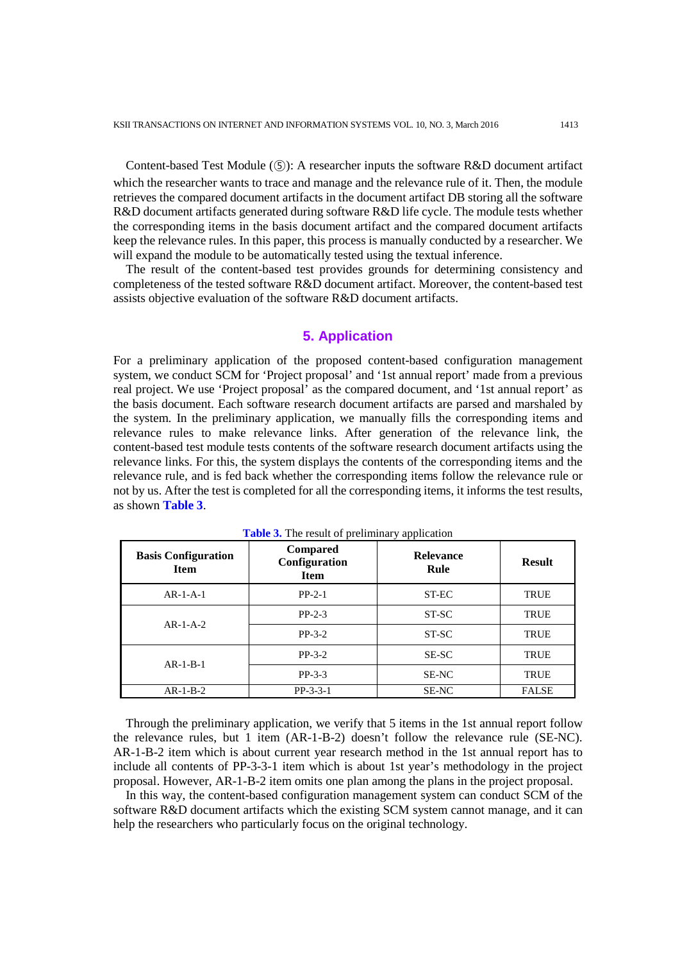Content-based Test Module (⑤): A researcher inputs the software R&D document artifact which the researcher wants to trace and manage and the relevance rule of it. Then, the module retrieves the compared document artifacts in the document artifact DB storing all the software R&D document artifacts generated during software R&D life cycle. The module tests whether the corresponding items in the basis document artifact and the compared document artifacts keep the relevance rules. In this paper, this process is manually conducted by a researcher. We will expand the module to be automatically tested using the textual inference.

The result of the content-based test provides grounds for determining consistency and completeness of the tested software R&D document artifact. Moreover, the content-based test assists objective evaluation of the software R&D document artifacts.

#### **5. Application**

For a preliminary application of the proposed content-based configuration management system, we conduct SCM for 'Project proposal' and '1st annual report' made from a previous real project. We use 'Project proposal' as the compared document, and '1st annual report' as the basis document. Each software research document artifacts are parsed and marshaled by the system. In the preliminary application, we manually fills the corresponding items and relevance rules to make relevance links. After generation of the relevance link, the content-based test module tests contents of the software research document artifacts using the relevance links. For this, the system displays the contents of the corresponding items and the relevance rule, and is fed back whether the corresponding items follow the relevance rule or not by us. After the test is completed for all the corresponding items, it informs the test results, as shown **Table 3**.

| <b>Basis Configuration</b><br><b>Item</b> | Compared<br>Configuration<br><b>Item</b> | <b>Relevance</b><br>Rule | <b>Result</b> |
|-------------------------------------------|------------------------------------------|--------------------------|---------------|
| $AR-1-A-1$                                | $PP-2-1$                                 | ST-EC                    | <b>TRUE</b>   |
|                                           | $PP-2-3$                                 | ST-SC                    | <b>TRUE</b>   |
| $AR-1-A-2$                                | $PP-3-2$                                 | ST-SC                    | <b>TRUE</b>   |
|                                           | $PP-3-2$                                 | <b>SE-SC</b>             | <b>TRUE</b>   |
| $AR-1-B-1$                                | $PP-3-3$                                 | <b>SE-NC</b>             | <b>TRUE</b>   |
| $AR-1-B-2$                                | $PP-3-3-1$                               | SE-NC                    | <b>FALSE</b>  |

**Table 3.** The result of preliminary application

Through the preliminary application, we verify that 5 items in the 1st annual report follow the relevance rules, but 1 item (AR-1-B-2) doesn't follow the relevance rule (SE-NC). AR-1-B-2 item which is about current year research method in the 1st annual report has to include all contents of PP-3-3-1 item which is about 1st year's methodology in the project proposal. However, AR-1-B-2 item omits one plan among the plans in the project proposal.

In this way, the content-based configuration management system can conduct SCM of the software R&D document artifacts which the existing SCM system cannot manage, and it can help the researchers who particularly focus on the original technology.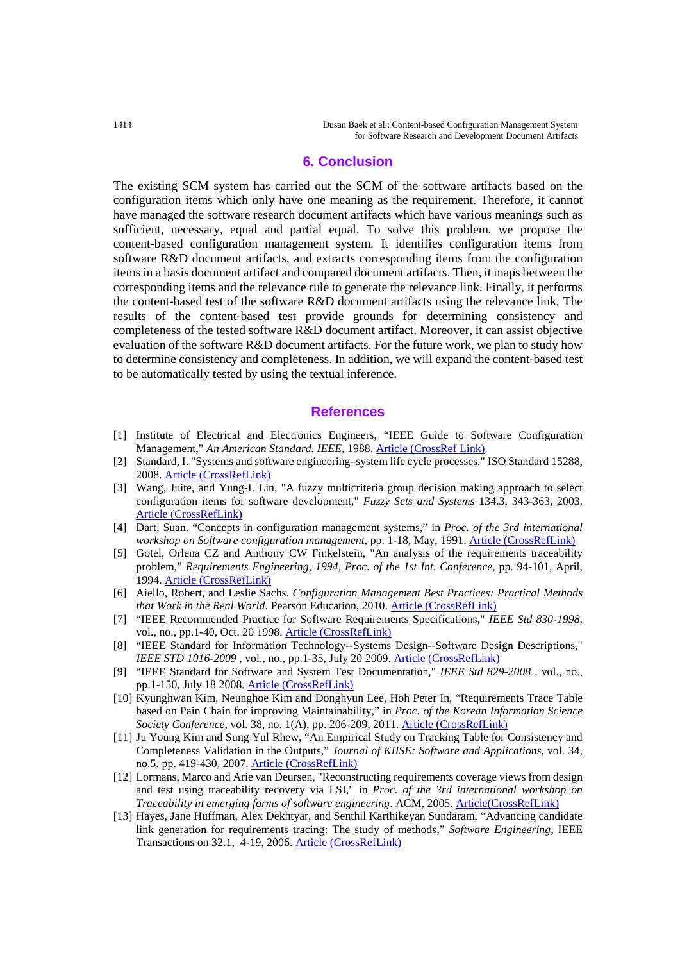1414 Dusan Baek et al.: Content-based Configuration Management System for Software Research and Development Document Artifacts

#### **6. Conclusion**

The existing SCM system has carried out the SCM of the software artifacts based on the configuration items which only have one meaning as the requirement. Therefore, it cannot have managed the software research document artifacts which have various meanings such as sufficient, necessary, equal and partial equal. To solve this problem, we propose the content-based configuration management system. It identifies configuration items from software R&D document artifacts, and extracts corresponding items from the configuration items in a basis document artifact and compared document artifacts. Then, it maps between the corresponding items and the relevance rule to generate the relevance link. Finally, it performs the content-based test of the software R&D document artifacts using the relevance link. The results of the content-based test provide grounds for determining consistency and completeness of the tested software R&D document artifact. Moreover, it can assist objective evaluation of the software R&D document artifacts. For the future work, we plan to study how to determine consistency and completeness. In addition, we will expand the content-based test to be automatically tested by using the textual inference.

#### **References**

- [1] Institute of Electrical and Electronics Engineers, "IEEE Guide to Software Configuration Management," *An American Standard. IEEE*, 1988. [Article \(CrossRef Link\)](http://dx.doi.org/10.1109/IEEESTD.1988.94582)
- [2] Standard, I. "Systems and software engineering–system life cycle processes." ISO Standard 15288, 2008. [Article \(CrossRefLink\)](http://www.iso.org/iso/home/store/catalogue_tc/catalogue_detail.htm?csnumber=63711)
- [3] Wang, Juite, and Yung-I. Lin, "A fuzzy multicriteria group decision making approach to select configuration items for software development," *Fuzzy Sets and Systems* 134.3, 343-363, 2003. [Article \(CrossRefLink\)](http://dx.doi.org/10.1016/S0165-0114(02)00283-X)
- [4] Dart, Suan. "Concepts in configuration management systems," in *Proc. of the 3rd international workshop on Software configuration management*, pp. 1-18, May, 1991. [Article \(CrossRefLink\)](http://dx.doi.org/10.1145/111062.111063)
- [5] Gotel, Orlena CZ and Anthony CW Finkelstein, "An analysis of the requirements traceability problem," *Requirements Engineering, 1994, Proc. of the 1st Int. Conference*, pp. 94-101, April, 1994. [Article \(CrossRefLink\)](http://dx.doi.org/10.1109/ICRE.1994.292398)
- [6] Aiello, Robert, and Leslie Sachs. *Configuration Management Best Practices: Practical Methods that Work in the Real World.* Pearson Education, 2010. [Article \(CrossRefLink\)](http://dl.acm.org/citation.cfm?id=1869711)
- [7] "IEEE Recommended Practice for Software Requirements Specifications," *IEEE Std 830-1998*, vol., no., pp.1-40, Oct. 20 1998. [Article \(CrossRefLink\)](http://dx.doi.org/10.1109/IEEESTD.1998.88286)
- [8] "IEEE Standard for Information Technology--Systems Design--Software Design Descriptions," *IEEE STD 1016-2009*, vol., no., pp.1-35, July 20 2009. [Article \(CrossRefLink\)](http://dx.doi.org/10.1109/IEEESTD.2009.5167255)
- [9] "IEEE Standard for Software and System Test Documentation," *IEEE Std 829-2008* , vol., no., pp.1-150, July 18 2008[. Article \(CrossRefLink\)](http://dx.doi.org/10.1109/IEEESTD.2008.4578383)
- [10] Kyunghwan Kim, Neunghoe Kim and Donghyun Lee, Hoh Peter In, "Requirements Trace Table based on Pain Chain for improving Maintainability," in *Proc. of the Korean Information Science Society Conference*, vol. 38, no. 1(A), pp. 206-209, 2011. [Article \(CrossRefLink\)](http://www.dbpia.co.kr/Article/NODE01687888)
- [11] Ju Young Kim and Sung Yul Rhew, "An Empirical Study on Tracking Table for Consistency and Completeness Validation in the Outputs," *Journal of KIISE: Software and Applications*, vol. 34, no.5, pp. 419-430, 2007. [Article \(CrossRefLink\)](https://www.kci.go.kr/kciportal/ci/sereArticleSearch/ciSereArtiView.kci?sereArticleSearchBean.artiId=ART001070940)
- [12] Lormans, Marco and Arie van Deursen, "Reconstructing requirements coverage views from design and test using traceability recovery via LSI," in *Proc. of the 3rd international workshop on Traceability in emerging forms of software engineering*. ACM, 2005. [Article\(CrossRefLink\)](http://dx.doi.org/10.1145/1107656.1107665)
- [13] Hayes, Jane Huffman, Alex Dekhtyar, and Senthil Karthikeyan Sundaram, "Advancing candidate link generation for requirements tracing: The study of methods," *Software Engineering*, IEEE Transactions on 32.1, 4-19, 2006. [Article \(CrossRefLink\)](http://dx.doi.org/10.1109/TSE.2006.3)